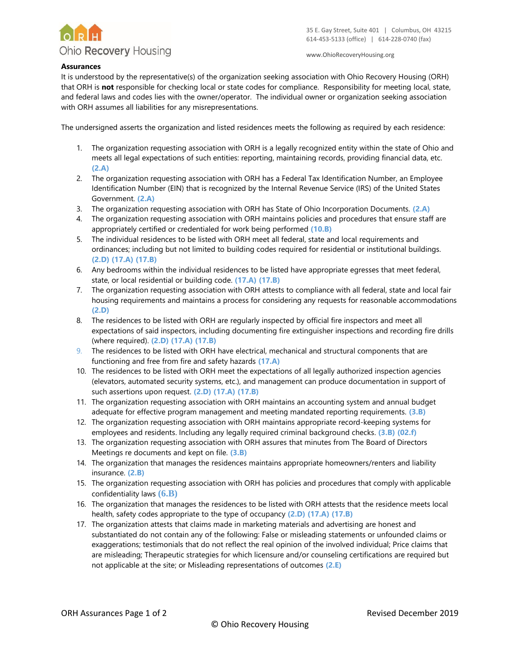

www.OhioRecoveryHousing.org

## **Assurances**

It is understood by the representative(s) of the organization seeking association with Ohio Recovery Housing (ORH) that ORH is **not** responsible for checking local or state codes for compliance. Responsibility for meeting local, state, and federal laws and codes lies with the owner/operator. The individual owner or organization seeking association with ORH assumes all liabilities for any misrepresentations.

The undersigned asserts the organization and listed residences meets the following as required by each residence:

- 1. The organization requesting association with ORH is a legally recognized entity within the state of Ohio and meets all legal expectations of such entities: reporting, maintaining records, providing financial data, etc. **(2.A)**
- 2. The organization requesting association with ORH has a Federal Tax Identification Number, an Employee Identification Number (EIN) that is recognized by the Internal Revenue Service (IRS) of the United States Government. **(2.A)**
- 3. The organization requesting association with ORH has State of Ohio Incorporation Documents. **(2.A)**
- 4. The organization requesting association with ORH maintains policies and procedures that ensure staff are appropriately certified or credentialed for work being performed **(10.B)**
- 5. The individual residences to be listed with ORH meet all federal, state and local requirements and ordinances; including but not limited to building codes required for residential or institutional buildings. **(2.D) (17.A) (17.B)**
- 6. Any bedrooms within the individual residences to be listed have appropriate egresses that meet federal, state, or local residential or building code. **(17.A) (17.B)**
- 7. The organization requesting association with ORH attests to compliance with all federal, state and local fair housing requirements and maintains a process for considering any requests for reasonable accommodations **(2.D)**
- 8. The residences to be listed with ORH are regularly inspected by official fire inspectors and meet all expectations of said inspectors, including documenting fire extinguisher inspections and recording fire drills (where required). **(2.D) (17.A) (17.B)**
- 9. The residences to be listed with ORH have electrical, mechanical and structural components that are functioning and free from fire and safety hazards **(17.A)**
- 10. The residences to be listed with ORH meet the expectations of all legally authorized inspection agencies (elevators, automated security systems, etc.), and management can produce documentation in support of such assertions upon request. **(2.D) (17.A) (17.B)**
- 11. The organization requesting association with ORH maintains an accounting system and annual budget adequate for effective program management and meeting mandated reporting requirements. **(3.B)**
- 12. The organization requesting association with ORH maintains appropriate record-keeping systems for employees and residents. Including any legally required criminal background checks. **(3.B) (02.f)**
- 13. The organization requesting association with ORH assures that minutes from The Board of Directors Meetings re documents and kept on file. **(3.B)**
- 14. The organization that manages the residences maintains appropriate homeowners/renters and liability insurance. **(2.B)**
- 15. The organization requesting association with ORH has policies and procedures that comply with applicable confidentiality laws **(6.B)**
- 16. The organization that manages the residences to be listed with ORH attests that the residence meets local health, safety codes appropriate to the type of occupancy **(2.D) (17.A) (17.B)**
- 17. The organization attests that claims made in marketing materials and advertising are honest and substantiated do not contain any of the following: False or misleading statements or unfounded claims or exaggerations; testimonials that do not reflect the real opinion of the involved individual; Price claims that are misleading; Therapeutic strategies for which licensure and/or counseling certifications are required but not applicable at the site; or Misleading representations of outcomes **(2.E)**